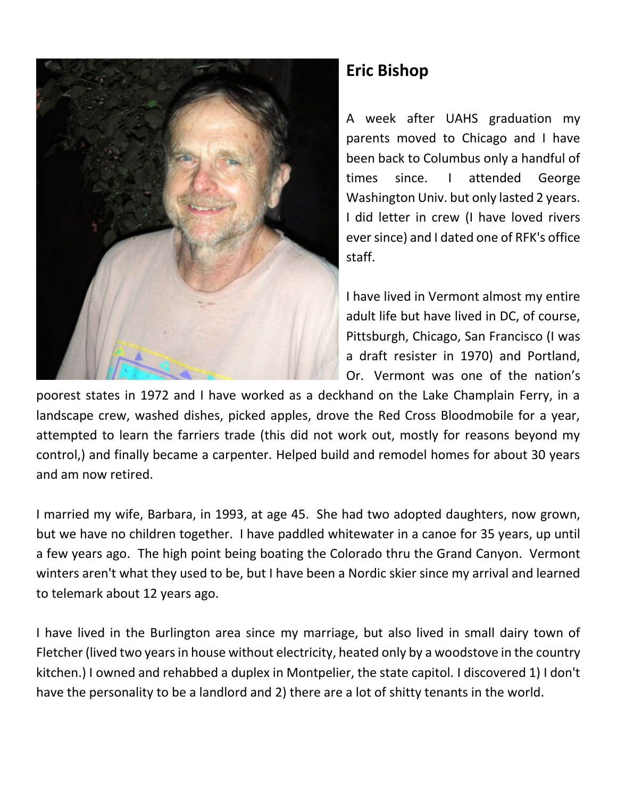

## **Eric Bishop**

A week after UAHS graduation my parents moved to Chicago and I have been back to Columbus only a handful of times since. I attended George Washington Univ. but only lasted 2 years. I did letter in crew (I have loved rivers ever since) and I dated one of RFK's office staff.

I have lived in Vermont almost my entire adult life but have lived in DC, of course, Pittsburgh, Chicago, San Francisco (I was a draft resister in 1970) and Portland, Or. Vermont was one of the nation's

poorest states in 1972 and I have worked as a deckhand on the Lake Champlain Ferry, in a landscape crew, washed dishes, picked apples, drove the Red Cross Bloodmobile for a year, attempted to learn the farriers trade (this did not work out, mostly for reasons beyond my control,) and finally became a carpenter. Helped build and remodel homes for about 30 years and am now retired.

I married my wife, Barbara, in 1993, at age 45. She had two adopted daughters, now grown, but we have no children together. I have paddled whitewater in a canoe for 35 years, up until a few years ago. The high point being boating the Colorado thru the Grand Canyon. Vermont winters aren't what they used to be, but I have been a Nordic skier since my arrival and learned to telemark about 12 years ago.

I have lived in the Burlington area since my marriage, but also lived in small dairy town of Fletcher (lived two years in house without electricity, heated only by a woodstove in the country kitchen.) I owned and rehabbed a duplex in Montpelier, the state capitol. I discovered 1) I don't have the personality to be a landlord and 2) there are a lot of shitty tenants in the world.